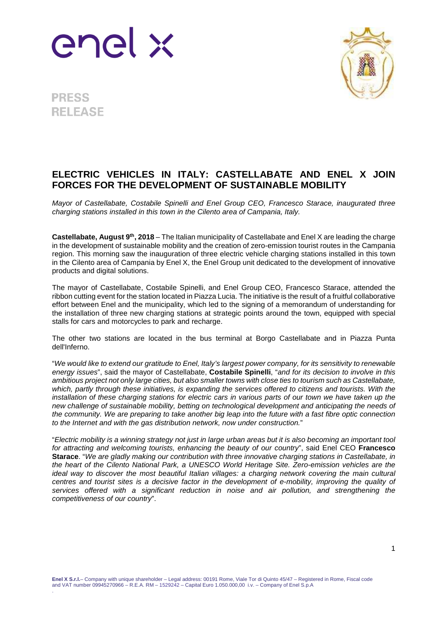



**PRESS RELEASE** 

## **ELECTRIC VEHICLES IN ITALY: CASTELLABATE AND ENEL X JOIN FORCES FOR THE DEVELOPMENT OF SUSTAINABLE MOBILITY**

Mayor of Castellabate, Costabile Spinelli and Enel Group CEO, Francesco Starace, inaugurated three charging stations installed in this town in the Cilento area of Campania, Italy.

**Castellabate, August 9th, 2018** – The Italian municipality of Castellabate and Enel X are leading the charge in the development of sustainable mobility and the creation of zero-emission tourist routes in the Campania region. This morning saw the inauguration of three electric vehicle charging stations installed in this town in the Cilento area of Campania by Enel X, the Enel Group unit dedicated to the development of innovative products and digital solutions.

The mayor of Castellabate, Costabile Spinelli, and Enel Group CEO, Francesco Starace, attended the ribbon cutting event for the station located in Piazza Lucia. The initiative is the result of a fruitful collaborative effort between Enel and the municipality, which led to the signing of a memorandum of understanding for the installation of three new charging stations at strategic points around the town, equipped with special stalls for cars and motorcycles to park and recharge.

The other two stations are located in the bus terminal at Borgo Castellabate and in Piazza Punta dell'Inferno.

"We would like to extend our gratitude to Enel, Italy's largest power company, for its sensitivity to renewable energy issues", said the mayor of Castellabate, **Costabile Spinelli**, "and for its decision to involve in this ambitious project not only large cities, but also smaller towns with close ties to tourism such as Castellabate, which, partly through these initiatives, is expanding the services offered to citizens and tourists. With the installation of these charging stations for electric cars in various parts of our town we have taken up the new challenge of sustainable mobility, betting on technological development and anticipating the needs of the community. We are preparing to take another big leap into the future with a fast fibre optic connection to the Internet and with the gas distribution network, now under construction."

"Electric mobility is a winning strategy not just in large urban areas but it is also becoming an important tool for attracting and welcoming tourists, enhancing the beauty of our country", said Enel CEO **Francesco Starace**. "We are gladly making our contribution with three innovative charging stations in Castellabate, in the heart of the Cilento National Park, a UNESCO World Heritage Site. Zero-emission vehicles are the ideal way to discover the most beautiful Italian villages: a charging network covering the main cultural centres and tourist sites is a decisive factor in the development of e-mobility, improving the quality of services offered with a significant reduction in noise and air pollution, and strengthening the competitiveness of our country".